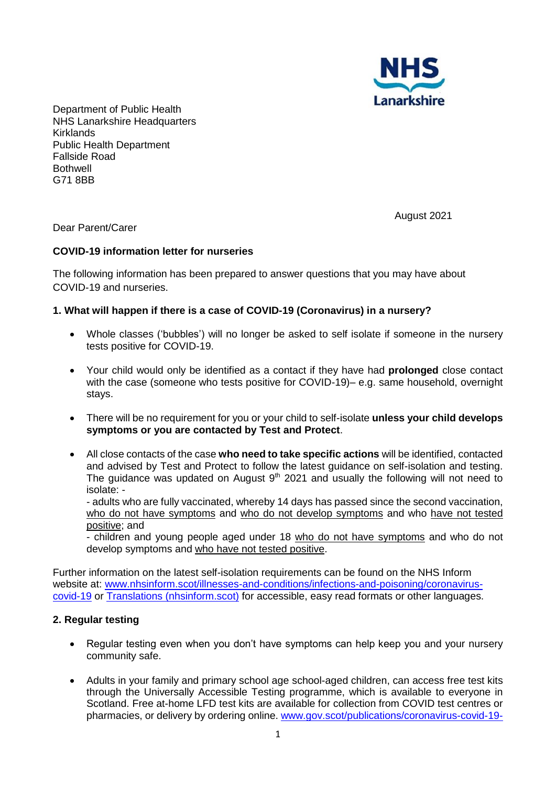

Department of Public Health NHS Lanarkshire Headquarters Kirklands Public Health Department Fallside Road **Bothwell** G71 8BB

Dear Parent/Carer

August 2021

### **COVID-19 information letter for nurseries**

The following information has been prepared to answer questions that you may have about COVID-19 and nurseries.

### **1. What will happen if there is a case of COVID-19 (Coronavirus) in a nursery?**

- Whole classes ('bubbles') will no longer be asked to self isolate if someone in the nursery tests positive for COVID-19.
- Your child would only be identified as a contact if they have had **prolonged** close contact with the case (someone who tests positive for COVID-19)– e.g. same household, overnight stays.
- There will be no requirement for you or your child to self-isolate **unless your child develops symptoms or you are contacted by Test and Protect**.
- All close contacts of the case **who need to take specific actions** will be identified, contacted and advised by Test and Protect to follow the latest guidance on self-isolation and testing. The guidance was updated on August  $9<sup>th</sup>$  2021 and usually the following will not need to isolate: -

- adults who are fully vaccinated, whereby 14 days has passed since the second vaccination, who do not have symptoms and who do not develop symptoms and who have not tested positive; and

- children and young people aged under 18 who do not have symptoms and who do not develop symptoms and who have not tested positive.

Further information on the latest self-isolation requirements can be found on the NHS Inform website at: [www.nhsinform.scot/illnesses-and-conditions/infections-and-poisoning/coronavirus](http://www.nhsinform.scot/illnesses-and-conditions/infections-and-poisoning/coronavirus-covid-19)[covid-19](http://www.nhsinform.scot/illnesses-and-conditions/infections-and-poisoning/coronavirus-covid-19) or [Translations \(nhsinform.scot\)](https://www.nhsinform.scot/translations) for accessible, easy read formats or other languages.

### **2. Regular testing**

- Regular testing even when you don't have symptoms can help keep you and your nursery community safe.
- Adults in your family and primary school age school-aged children, can access free test kits through the Universally Accessible Testing programme, which is available to everyone in Scotland. Free at-home LFD test kits are available for collection from COVID test centres or pharmacies, or delivery by ordering online. [www.gov.scot/publications/coronavirus-covid-19-](http://www.gov.scot/publications/coronavirus-covid-19-getting-tested/pages/no-covid-symptoms)